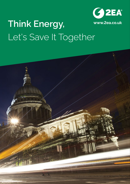

# **www.2ea.co.uk Think Energy,** Let's Save It Together

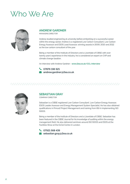### Who We Are



#### **ANDREW GARDNER**

MANAGING DIRECTOR

Andrew studied engineering at university before embarking on a successful career within the energy sector. Andrew is a registered Low Carbon Consultant, Low Carbon Energy Assessor and ESOS Lead Assessor, winning awards in 2009, 2010 and 2012 as the low carbon consultant of the year.

Being a member of the Institute of Directors and a Licentiate of CIBSE with over twenty years' experience in the industry, he is considered an expert on CHP and climate change taxation.

An interview with Andrew Gardner - **www.2ea.co.uk/CCL-Interview**

#### **07876 196 921**

 **andrew.gardner@2ea.co.uk**



#### **SEBASTIAN GRAY** COMPANY DIRECTOR

Sebastian is a CIBSE registered Low Carbon Consultant, Low Carbon Energy Assessor, ESOS Leader Assessor and Energy Management System Specialist. He has also obtained qualifications in Prince2 Project Management and training from BSI in implementing ISO 50001.

Being a member of the Institute of Directors and a Licentiate of CIBSE. Sebastian has been featured in the CIBSE Journal for his knowledge of auditing within the energy management field. He also delivered seminars around ISO 50001 and ESOS at the Facilities Show at the ExCel Centre in London.

 **07921 568 439 sebastian.gray@2ea.co.uk**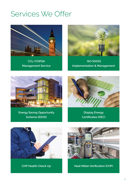### Services We Offer



**CCL/CHPQA Management Service**



 **ISO 50001 Implementation & Management**



**Energy Saving Opportunity Scheme (ESOS)**



**Display Energy Certificates (DEC)**





**CHP Health Check Up Heat Meter Verification (CHP)**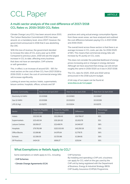## CCL Paper

### **A multi-sector analysis of the cost difference of 2017/2018 CCL Rates vs. 2019/2020 CCL Rates**

Climate Change Levy (CCL) has been around since 2001. The Carbon Reduction Commitment (CRC) has been around, on a mandatory level, since 2007. However, the government announced in 2016 that it was abolishing the CRC.

With this loss of revenue, the government decided to increase the rates of CCL every year up to 2019. Compared to previous years, 2019 will see the largest increase in CCL to date, affecting every business that does not have an exemption, CHP scheme or self-generation.

This, in effect, is an increase of around 53% - 56% for most sectors on the cost of their CCL from 2017/2018 to 2019/2020. In short, the cost of commercial energy bills will increase significantly.

Looking at seven key sectors; hotels, supermarkets, leisure centres, hospitals, offices, schools and GP

practices and using actual energy consumption figures from these seven areas, we have analysed and outlined the cost difference between paying CCL in 2017/2018 and 2019/2020.

The overall trend across these sectors is that there is an average increase in CCL costs, per site, for 2019/2020 of 56%. This means that commercial energy bills will increase by 4% purely on CCL costs.

This does not consider the potential likelihood of energy prices increasing and or changes in energy demand. Although we have assumed that energy use will remain roughly the same in 2019/2020 as it was in 2017/2018.

The CCL rates for 2020, 2021 and 2022 will be announced in the 2018 autumn budget.

A full copy of our paper can be found at: **www.2ea.co.uk/ccl-paper**

| Taxable Commodity   |            | Rate from 1st April 2017         |                                         |          | Rate from 1st April 2018 | Rate from 1st April 2019 |
|---------------------|------------|----------------------------------|-----------------------------------------|----------|--------------------------|--------------------------|
| Electricity (£/kWh) |            | £0.00568                         |                                         | £0.00583 |                          | £0.00847                 |
| Gas (£/kWh)         |            | £0.00198                         |                                         | £0.00203 |                          | £0.00339                 |
| LPG(E/kg)           |            | £0.01272                         |                                         | £0.01304 |                          | £0.02175                 |
| Sector              |            | Total CCL Payable<br>(2017/2018) | <b>Total CCL Payable</b><br>(2019/2020) |          | <b>Difference</b>        | Percentage<br>Increase   |
| <b>Hotels</b>       | £32,510.36 |                                  | £52,268.43                              |          | £19,758.07               | 61%                      |
| Supermarkets        | £23,410.54 |                                  | £35,324.32                              |          | £11,913.78               | 51%                      |
| Leisure Centres     | £8,559.07  |                                  | £13,499.74                              |          | £4,940.67                | 58%                      |
| <b>Hospitals</b>    | £79,762.89 |                                  | £122,013.06                             |          | £42,250.18               | 53%                      |
| Office Blocks       | £3,196.88  |                                  | £4,975.64                               |          | £1,778.75                | 56%                      |
| <b>Schools</b>      | £2,336.05  |                                  | £3,720.86                               |          | £1,384.81                | 59%                      |
| <b>GP Practices</b> | £424.33    |                                  | £656.27                                 |          | £231.94                  | 55%                      |

### **What Exemptions or Reliefs Apply to CCL?**

Some exemptions or reliefs apply to CCL, including:

- **CHP Schemes**
- **Climate Change Agreements (CCA)**

CHP Schemes:

By installing and operating a CHP unit, a business can apply for CCL relief on the gas used by the CHP unit by being registered with the Department of Business, Energy & Industrial Strategy (BEIS) CHP Quality Assurance (CHPQA) Programme.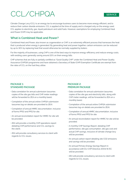### CCL/CHPQA

Climate Change Levy (CCL) is an energy tax to encourage business users to become more energy efficient, and to reduce their carbon dioxide emissions. CCL is applied at the time of supply and is charged only on the energy used. CCL applies to electricity, gas, liquid petroleum and solid fuels. However, exemptions for employing Combined Heat and Power (CHP) may be applicable.

#### **What is Combined Heat and Power?**

Combined Heat and Power, also known as cogeneration or CHP, is an extremely efficient process that harnesses the heat that is produced when energy is generated. By generating heat and power together, carbon emissions can be reduced by up to 30% by replacing heat that would otherwise be normally supplied by boilers.

For the majority of businesses, using CHP is one of the best ways to improve energy-efficiency and reduce energy costs, with existing users generally saving around 20% on their energy bills.

CHP schemes that are fully or partially certified as "Good Quality CHP" under the Combined Heat and Power Quality Assurance (CHPQA) programme and have obtained a Secretary of State (CHP) Exemption Certificate are exempt from the rates of CCL on the fuel they utilise.

#### **PACKAGE 1: STANDARD PACKAGE**

- Data correlation for annual submission (assumes copies of the site gas bills and CHP meter readings will be forwarded to 2EA on a monthly basis).
- Completion of the annual online CHPQA submission (assumes log-on details are provided to 2EA).
- Completion of annual HMRC documentation, inclusive of forms PP10 and PP11 for site.
- An annual reconciliation report for HMRC for site will be provided.
- 2EA will provide a monthly CHP operations report detailing CHP performance and CCL savings to the client.
- 2EA will provide consultancy services to client with regards to CCL issues.

#### **PACKAGE 2: PREMIUM PACKAGE**

• Data correlation for annual submission (assumes copies of the site gas and electricity bills, along with CHP meter readings, will be forwarded to 2EA on a monthly basis).

 **SERVICE** 

- Completion of the annual online CHPQA submission (assumes log-on details are provided to 2EA).
- Completion of annual HMRC documentation, inclusive of forms PP10 and PP11 for site.
- An annual reconciliation report for HMRC for site will be provided.
- A monthly CHP Savings Report, detailing CHP performance, site gas consumption, site gas cost and actual CHP savings, inclusive of climate change levy will be provided.
- An annual carbon report detailing site CO2 emissions and savings will be provided.
- An annual Primary Energy Savings Report in accordance with EU-CHP Directive 2004/8/EC will be provided.
- 2EA will provide consultancy services to client with regards to CCL issues.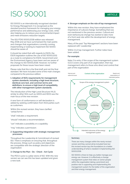### ISO 50001

ISO 50001 is an internationally recognised standard for Energy Management. It is recognised as the standard practice framework for managing your energy performance and addressing your energy costs, while also helping you to reduce your environmental impact and meet emissions reduction targets.

The ISO/FDIS 50001:2018 edition was released May 2018 and we have summarised the main points and changes that organisations currently running, implementing or looking to implement ISO 50001 should be aware of.

It should be noted that with regards to ESOS, the ESOS legislation outlines the use of ISO 50001:2011 as a route to compliance for ESOS. Government and the Environment Agency have been and are aware of the change to ISO 50001:2018. However, no further proposals for these issues have been raised.

Please note that this is the final draft and not the final standard. We have included some of the main changes compared to the previous edition:

**1. Adoption of ISO's requirements for management system standards, including a high level structure, identical core text, and common terms and definitions, to ensure a high level of compatibility with other management system standards;**

The introduction of the High Level Structure (HLS), similar to other ISOs such as 14001 and 9001 was the main focus of the new revision.

A new form of conformance or self declaration is added by seeking confirmation from third parties such as customers.

Within this revised version, they have clarified 'verbal forms'

"shall" indicates a requirement;

"should" indicates a recommendation;

"can" indicates a possibility or a capability;

"may" indicates a permission.

#### **2. Supporting integration with strategic management processes;**

Throughout the Leadership & Commitment of revised ISO. There is emphasis on ensuring that, throughout the process, things such as policy and objectives are compatible with the strategic direction of the organisation.

#### **3. Change to the Plan - Do - Check - Act Cycle**

The PDCA cycle is a pillar stone of ISO. With this new version we can see this has been updated and given a new look.

#### **4. Stronger emphasis on the role of top management;**

Within this new revision, they have emphasised the importance of cultural change. Something that was not mentioned in the previous version. Cultural and even behavioural change has started to take more of a front seat role within the development of energy management.

Many of the past 'Top Management' sections have been replaced with 'Leadership'

Within 3.1.2 top management. Further notes have been added.

#### **For example:**

Note 2 to entry: If the scope of the management system (3.2.1) covers only part of an organization, then top management refers to those who direct and control that part of the organization.





#### **Summary**

There are many changes within the newly revised version and they cannot all be included here but this revised version lays the foundations to a better understanding of what is needed in implementing ISO 50001:2018.

ISO 50001 is there to help you better manage your energy use. However, it is effectively a change management system that relies on senior people within the organisation taking a prominent and positive role in supporting and implementing this management system for the better of the organisation and their energy management.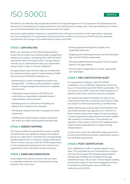### **ISO 50001** SERVICE

ISO 50001 is an internationally recognised standard for Energy Management. It is recognised as the standard practice framework for managing your energy performance and addressing your energy costs, while also helping you to reduce your environmental impact and meet emissions reduction targets.

Successful implementation depends on commitment from all levels and functions of the organisation, especially from top management. For organisations looking to become certified, we ensure your EnMS meets the standards requirements and arrange an accredited body to assess your EnMS.

#### **STAGE 1: GAP ANALYSIS**

Before you commit to an ISO 50001 implementation project we can review your existing energy management initiatives and systems, comparing them with ISO 50001 and identify areas that require action. This gap analysis will help you to understand the steps your organisation needs to take in order to achieve certification.

Our gap analysis report will also help you to determine the workload and time scale for implementing an EnMS that will achieve ISO 50001 certification by:

- Reviewing your current management practice and energy profile - including existing operations, plant & systems, energy management procedures, capability and resources.
- Outlining the requirements for ISO 50001 and confirming your organisation's potential scope of implementation and boundaries.
- Identifying level of conformance (including any deficiencies) in relation to the standard.
- Providing an improvement plan to prepare for formal assessment.
- Identifying the implementation project critical path and where you many need targeted specialist help.

#### **STAGE 2: ENERGY MAPPING**

This stage provides the opportunity to assess, quantify and benchmark your significant energy consumptions across your site(s) and a comprehensive and appropriate baseline against which to measure energy performance. This is not only a key part of the ISO 50001 requirements, it is the fundamental starting point from which all your organisation's most meaningful savings will spring.

#### **STAGE 3: ENMS IMPLEMENTATION**

In this stage of the process we work with your team to undertake systematic and comprehensive energy planning. This could mean:

- Devising appropriate objectives, targets and a supporting action plan.
- Designing and checking processes and documentation that meet ISO 50001 requirements.
- Providing additional technical support where required based on the gap analysis.
- Ensuring data management is accurate, appropriate and meaningful.

#### **STAGE 4: PRE-CERTIFICATION AUDIT**

For organisations looking to obtain ISO 50001 certification, a pre-certification audit will be carried out by our in-house BSI-trained ISO 50001 Lead Auditor. This is to ensure your EnMS meets ISO 50001 standard or to identify further action needed to become compliant.

Our analysis and report will identify any areas of nonconformity and provide a corrective action plan to make you ready for a formal assessment by a certified body.

Please note that you must be able to demonstrate that your EnMS has been fully operative for a minimum of three months and has been subject to internal auditing in order to generate enough records to provide certifiers with evidence of conformance. This essential 'live operation' of the system is built into the implementation project timeline generated by our Stage One Gap Analysis Report.

As part of our service we undertake energy assessment to ensure the EnMS that has been implemented works to the standards requirements.

#### **STAGE 5: POST-CERTIFICATION**

Post-certification we offer on-going support to your team. This could take any one of several forms, ranging from technical support for individual energy projects, through data handling and management to legal compliance issues. We can also conduct regular auditing and provide support for top level management reviews to maintain the effectiveness of your EnMS and conformity to ISO 50001.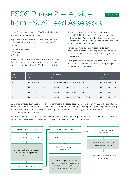### ESOS Phase 2 — Advice from ESOS Lead Assessors

Unlike Phase 1, participants of ESOS have had plenty of time to get prepared for Phase 2.

As you are no doubt aware, ESOS requires participants to review their energy consumption within three (3) specific areas:

- 1. Industrial Processes
- 2. Transport
- 3. Buildings

As we approach the start of Year 4 in Phase 2 of ESOS, the guidance requires that energy consumption data covers the specific date of the 31st December 2018.

We would, therefore, recommend that the period 1st April 2018 to 31st March 2019 is utilised for your ESOS reporting. Please note that if you are not already recording transport mileage; you should make provision to do so for the above period.

 **ARTICLE** 

Participants must also conduct audits to identify cost-effective energy saving opportunities and report compliance to the scheme's administrator by the 5th December 2019.

Taking action now to ensure that this data is recorded and correlated correctly will make your reporting in 2019 far easier for all concerned.

| Compliance<br>Phase | Qualification<br>Date | Compliance<br>Period                        | Compliance<br>Date |
|---------------------|-----------------------|---------------------------------------------|--------------------|
|                     | 31st December 2014    | From 17th July 2014 to 5th December 2015    | 5th December 2015  |
|                     | 31st December 2018    | From 6th December 2015 to 5th December 2019 | 5th December 2019  |
| 3                   | 31st December 2022    | From 6th December 2019 to 5th December 2023 | 5th December 2023  |
|                     | 31st December 2026    | From 6th December 2023 to 5th December 2027 | 5th December 2027  |

Our advice is not to delay the process any longer. Despite the legal requirement to comply with ESOS, the compliance process will provide a comprehensive overview of your organisation's energy consumption, highlighting energy saving opportunities which could benefit your business greatly. Therefore, the sooner you comply, the sooner you can start saving money for your business.

We understand that this process can be overwhelming so we have put together this simplified guide on the steps that are required to complete ESOS and help you reach compliance by the 5th of December.

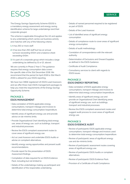### ESOS

The Energy Savings Opportunity Scheme (ESOS) is a mandatory energy assessment and energy saving identification scheme for large undertakings (and their corporate groups).

The scheme is applicable throughout the UK and applies to any undertaking which carries out business activity and matches with any of the following criteria:

- **1.** It has 250 or more staff.
- **2.** It has less than 250 staff but has an annual turnover exceeding €50m and a balance sheet exceeding €43m.
- **3.** It is part of a corporate group which includes a large undertaking (as defined by (1) or (2), above).

We are currently in Phase 2 Year 3. The guidance requires that energy consumption data covers the specific date of the 31st December 2018. We recommend that the period 1st April 2018 to 31st March 2019 is utilised for your ESOS reporting.

We have two CIBSE registered UK ESOS Lead Assessors and we offer three main ESOS management packages to help you meet the requirements of the Energy Savings Opportunity Scheme.

#### **PACKAGE 1: ESOS MANAGEMENT**

- Data correlation of ESOS applicable energy consumptions, transport mileage and invoices to determine total energy consumption/expenditure.
- Identify areas of significant energy use and provide advice on de-minimis limits.
- Provide Organisational Chart identifying total energy use, areas of energy use, such as buildings, transport and industrial processes.
- Review the ESOS compliant assessment routes to cover areas of significant energy use.
- Act as Lead Assessor and undertake ESOS Audits or advise on compliant alternatives.
- Identify energy saving opportunities and present audit recommendations.
- Provide report for the presentation of ESOS Assessment findings.
- Compilation of data required for an ESOS Evidence Pack; including but not limited to:
- Details of the undertakings making up participant and identification of the responsible undertaking.
- Details of named personnel required to be registered as part of ESOS.
- Details of the Lead Assessor.
- List of identified areas of significant energy consumption.
- Details of compliance route to cover areas of significant energy consumption.
- Details of audit methodology.
- Correlation of correspondence with the relevant authority.
- Determination of Exclusions and Onward Supplies as defined in the ESOS Guidance.
- Certificate of Audit Compliance.
- Consultancy services to client with regards to ESOS issues.

#### **PACKAGE 2: ESOS ENERGY REPORTING**

- Data correlation of ESOS applicable energy consumptions, transport mileage and invoices to determine total energy consumption/expenditure.
- Identify areas of significant energy use and provide an Organisational Chart identifying areas of significant energy use, such as buildings, transport and industrial processes.
- Review the ESOS compliant assessment routes and suggest audit process to cover areas of significant energy use.

#### **PACKAGE 3: ESOS EVIDENCE AUDIT**

- Review of participants' ESOS applicable energy consumptions, transport mileage and invoices used to determine total energy consumption/expenditure.
- Review of participants' areas of significant energy use and de-minimis limits.
- Review of participants' assessment routes covering areas of significant energy use.
- Review of participants' ESOS Audits or compliant alternatives.
- Review of participants' ESOS Evidence Pack.
- Provision of a Certificate of Audit Compliance.

#### **SERVICE**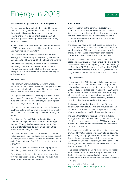## Energy in 2018 **ARTICLE**

The energy reporting sector for the United Kingdom is still in its infancy compared to other sectors. With the important issues of rising energy costs and climate change; the government understand that the industry needs to be improved while maintaining business as usual.

With the removal of the Carbon Reduction Commitment in 2019, the government is seeking to implement a new and improved reporting system.

The Department for Business, Energy and Industrial Strategy (BEIS) is currently in the planning stage of the new Streamlined Energy and Carbon Reporting scheme.

This will improve the way in which businesses report their energy use, and provide businesses with the information needed to identify how they can reduce energy bills. Further information is available on page 12 of this brochure.

#### **MEES/EPC/DEC**

The Minimum Energy Efficiency Standard, Energy Performance Certificates and Display Energy Certificates are all covered within this section of the article because they all play a crucial role in the sector.

The legislation behind Display Energy Certificates will not change. This went to a Parliamentary committee in 2016, and the outcome was that they will stay in place for public buildings above 250 sqm.

It is worth noting that private sector organisations can use DEC's as long as their type of building is covered by the system software and many continue to do so year on year.

The Minimum Energy Efficiency Standard is a new standard coming into force in 2018. It aims, through the use of Energy Performance Certificates (EPCs), to prevent landlords renting out properties that fall below a certain rating on an EPC.

Landlords of non-domestic private rented properties, including public sector landlords, are not eligible to rent, or renew, existing tenancies, if their properties fall below an EPC band rating of F or G. This came into force on 1st April 2018.

For landlords of domestic private rented properties, the building must have an EPC rating of E or better.

For landlords, this means that to rent their properties, they need to undertake an EPC audit. This audit must produce a band rating of E or better.

#### **Smart Meters**

Smart Meters within the commercial sector have been around for some time. However, smart meters for domestic properties have been slowly making their way into British households. Currently the market is on Smart Metering Equipment Technical Specification: version (SMETs1).

The issues that have arisen with these meters are that each supplier has their own smart meter connected to a mobile network. When a customer wants to switch energy provider, these smart meters then become obsolete, and a new smart meter must be fitted.

The second issue is that meters have on multiple occasions either billed too much or too little and in some cases have found that LED lighting on dimmable settings confuse these SMETs1 smart meters. From this, SMETs2 will be coming into force in 2018 or 2019, meaning the programme for this new set of smart meters is on track.

#### **Capacity Market**

Participants of the 2018 Capacity Market were able to bid for contracts in auctions held four years prior to the delivery date, meaning successful contracts for the 1st October 2018 took place back in December 2014. Some additional auctions will be held a year prior to delivery, with the aim to capture capacity from demand-side responders, while also allowing secondary trading of capacity obligations secured the first time around.

Auctions will follow the 'descending clock' format, starting with offers of £75/MWh and reducing until the minimum price is reached; at which point the capacity offered by bidders is equal to the generation required.

The Department for Business, Energy and Industrial Strategy (BEIS) announced late last year that the derating of battery projects would be cut by 80% in upcoming auctions. For short-duration battery projects, this could become unprofitable.

The department said its review of the auction rules was prompted by "(a) emerging evidence that market signals were driving the deployment of limited duration batteries that could generate continuously for a maximum of 30-60 minutes, and (b) initial analysis from National Grid that suggested that the duration of stress events may frequently exceed this."

"This raised concerns regarding the potential for storage to be over-rewarded in the Capacity Market relative to its ability to contribute capacity during longer stress events, which in turn could lead to a reduction in security of supply."

You can find the full article at: **https://www.2ea.co.uk/energy-in-2018**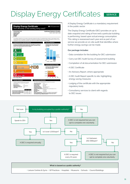### Display Energy Certificates i  **SERVICE**



A Display Energy Certificate is a mandatory requirement in the public sector.

The Display Energy Certificate (DEC) provides an up to date snapshot and rating of how well a particular building is performing, based upon actual energy consumption. This rating is reassessed each year and as part of our service we provide an on-site audit that identifies where further energy savings can be made.

#### **Our package includes:**

- Data correlation for the building for DEC submission
- Carry out DEC Audit Survey of assessment building
- Completion of all documentation for DEC submission
- A DEC Certificate
- An Advisory Report, where appropriate
- A DEC Audit Report specific to site, highlighting energy saving measures
- Lodging of the certificate with the appropriate regulatory body
- Consultancy services to client with regards to DEC issues

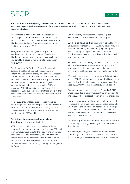### SECR

**When we look at the energy legislation landscape for the UK, we can see its history is not that old. In the last ten to twenty years, we have seen some of the most important legislation come into force and will soon see some of it abolished.**

A consultation in March 2016 set out the road to abolishing the Carbon Reduction Commitment (CRC) and it is currently in its last phase, ending in 2019. With this, the rates of Climate Change Levy are set to rise significantly come April 2019.

Alongside this, there was significant support for mandatory reporting to be continued. Because of this, the government also announced a consultation on a simplified reporting framework for introduction in April 2019.

The Department for Business, Energy & Industrial Strategy (BEIS) launched a public consultation, 'Reforming the business energy efficiency tax landscape', in 2015 and published the results in 2016. Since then they have continued to work with industry in furthering the development of this framework. BEIS gave presentations at various events including EMEX and in November 2017, it held a Streamlined Energy & Carbon Reporting (SECR) launch event. From there it held further events at its head office. The consultation closed on 4th January 2018.

In July 2018, they released their proposal response for introducing a Streamlined Energy & Carbon Reporting or SECR for short. They found with CRC ending, CCL rates increasing and SECR being introduced, there is a net societal benefit of £698 million.

#### **The first question everyone will want to know is; does this apply to my organisation?**

SECR will apply to all quoted companies and large incorporated unquoted companies with at least 250 staff or an annual turnover greater than £36m, and an annual balance sheet total greater than £18m. This has been chosen based on the responses from the consultation and is taken from the Companies Act 2006. This will be via voluntary electronic reporting but may be changed in the future.

Limited Liability Partnerships (LLPs) are required to include SECR information in their annual reports.

SECR will be delivered through annual reports. However, UK subsidiaries that qualify for SECR will not be required to report where they are covered by a parent group report but they can report voluntarily if they wish. Subsidiaries with parent companies outside the UK will also have to report.

SECR will be applied throughout the UK. This falls in line with other reporting mechanisms currently in place. This also makes it easier to manage across the board and gives a universal framework for everyone to work within.

SECR will have exemptions. If a company falls within the scope of SECR, but is a low energy user, it will not have to disclose their SECR information if they can confirm they used 40,000kWh or less in the last 12 month period.

Quoted companies already disclose Scope 1 & 2 GHG Emissions and an intensity metric in their annual reports and should, where practical, report on global energy use.

Unquoted companies will be required, where practical, to report their UK energy use and associated Scope 1 & 2 GHG Emissions as well as an intensity metric. Energy use within the scope, as a minimum, should include electricity, gas and transport with transport defined as road, rail, air and shipping.

SECR will require companies within the scope to provide commentary on energy efficiency actions taken in the financial year.

In summary, this truly puts energy on the boardroom table. Many companies think it is a fixed cost, but it is not. This will change the way companies think about energy.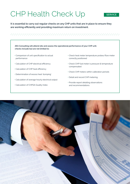## CHP Health Check Up<sub>sERVICE</sub>

**It is essential to carry out regular checks on any CHP units that are in place to ensure they are working efficiently and providing maximum return on investment.**

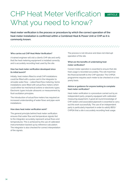### CHP Heat Meter Verification What you need to know?

**Heat meter verification is the process or procedure by which the correct operation of the heat meter installation is confirmed within a Combined Heat & Power Unit or CHP as it is commonly known.**

#### **Who carries out CHP Heat Meter Verification?**

A trained engineer will visit a client's CHP site and verify that the heat metering equipment is installed correctly and is accurately recording heat used by the site.

#### **How has heat meter verification developed since its initial launch?**

Initially, heat meters fitted to small CHP installations could be fitted with a pulse card in the integrator to simulate water flow – called fixed flow metering. Some installations were fitted with actual flow meters which could either be mechanical turbine or electronic types. Electronic types include ultrasonic or measurement by fluid oscillation principles.

The introduction of actual flow meters has required an increased understanding of water flows and pipe-work installations.

#### **How does heat meter verification work?**

The general principle behind heat meter verification ensures that water flow and temperature signals fed to the integrator accurately represent actual flows and temperatures. This is achieved by the use of calibrated instrumentation backed up by reference calculation. The integrator is also checked for correct interpretation of the signals.

The process is not intrusive and does not interrupt operation of the site.

#### **What are the benefits of undertaking heat meter verification?**

Correct meter operation is essential to ensure that site heat usage is recorded accurately. This will maximise the financial benefit to the CHP operator. The CHPQA programme requires each meter to be checked on a two yearly basis.

#### **Advice or guidance for anyone looking to complete heat meter verification?**

Heat meter verification is a procedure carried out by an independent party, properly equipped with calibrated measuring equipment. A good all round knowledge of CHP, boilers and associated pipework is essential to carry out this work successfully. The use of an independent party is particularly important in order to satisfy BEIS/ CHPQA that a site is accurately recording heat usage.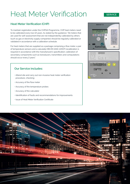### **Heat Meter Verification** SERVICE

#### **Heat Meter Verification (CHP)**

To maintain registration under the CHPQA Programme, CHP heat meters need to be calibrated every two (2) years. As stated by the guidance: "All meters that are used for self-assessment that are not independently calibrated by others (such as gas or electricity supply companies) should be regularly calibrated or validated in accordance with a calibration schedule.

For heat meters that are supplied as a package comprising a flow meter, a pair of temperature sensors and a calculator (BS EN 1434-1:2007) recalibration is required in accordance with the manufacturer's specification; calibration of secondary components such as transducers, transmitters and computations should occur every 2 years".

#### **Our Service includes:**

- Attend site and carry out non-invasive heat meter verification procedure, checking:
- Accuracy of the flow meter
- Accuracy of the temperature probes
- Accuracy of the calculator
- Identification of faults and recommendations for improvements
- Issue of Heat Meter Verification Certificate